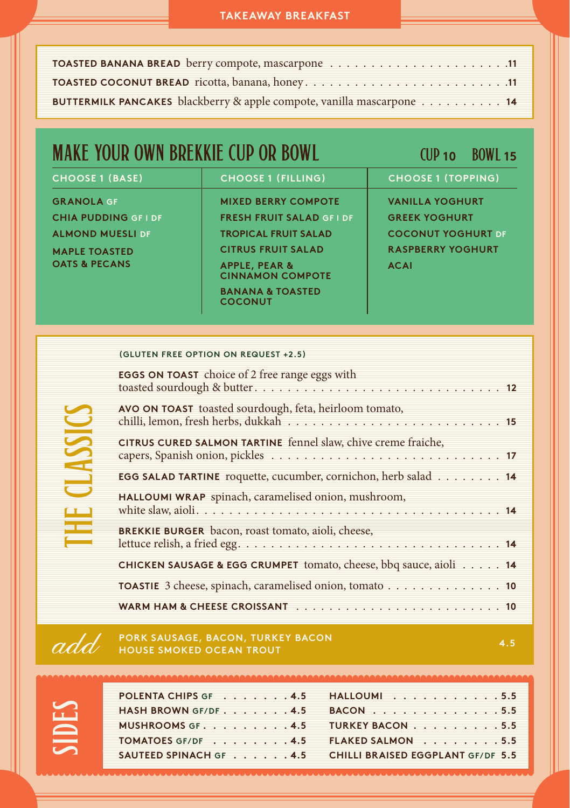#### **TAKEAWAY BREAKFAST**

| BUTTERMILK PANCAKES blackberry & apple compote, vanilla mascarpone 14 |  |
|-----------------------------------------------------------------------|--|

## **MAKE YOUR OWN BREKKIE CUP OR BOWL CUP 10** CUP 10 BOWL 15

| <b>CHOOSE 1 (BASE)</b>      | <b>CHOOSE 1 (FILLING)</b>                           | <b>CHOOSE 1 (TOPPING)</b> |
|-----------------------------|-----------------------------------------------------|---------------------------|
| <b>GRANOLA GF</b>           | <b>MIXED BERRY COMPOTE</b>                          | <b>VANILLA YOGHURT</b>    |
| <b>CHIA PUDDING GF I DF</b> | <b>FRESH FRUIT SALAD GF I DF</b>                    | <b>GREEK YOGHURT</b>      |
| <b>ALMOND MUESLI DF</b>     | <b>TROPICAL FRUIT SALAD</b>                         | <b>COCONUT YOGHURT DE</b> |
| <b>MAPLE TOASTED</b>        | <b>CITRUS FRUIT SALAD</b>                           | <b>RASPBERRY YOGHURT</b>  |
| <b>OATS &amp; PECANS</b>    | <b>APPLE, PEAR &amp;</b><br><b>CINNAMON COMPOTE</b> | <b>ACAI</b>               |
|                             | <b>BANANA &amp; TOASTED</b><br><b>COCONUT</b>       |                           |

#### **(GLUTEN FREE OPTION ON REQUEST +2.5)**

| <b>EGGS ON TOAST</b> choice of 2 free range eggs with                                 |
|---------------------------------------------------------------------------------------|
| AVO ON TOAST toasted sourdough, feta, heirloom tomato,                                |
| CITRUS CURED SALMON TARTINE fennel slaw, chive creme fraiche,                         |
| <b>EGG SALAD TARTINE</b> roquette, cucumber, cornichon, herb salad $\ldots \ldots$ 14 |
| HALLOUMI WRAP spinach, caramelised onion, mushroom,                                   |
| <b>BREKKIE BURGER</b> bacon, roast tomato, aioli, cheese,                             |
| CHICKEN SAUSAGE & EGG CRUMPET tomato, cheese, bbq sauce, aioli 14                     |
| TOASTIE 3 cheese, spinach, caramelised onion, tomato 10                               |
|                                                                                       |

#### **PORK SAUSAGE, BACON, TURKEY BACON HOUSE SMOKED OCEAN TROUT**

| - 7<br>т                    |
|-----------------------------|
| and the control of the con- |
|                             |
| ۰.<br>۱,<br>۰               |

the classics

THE CLASSICS

| POLENTA CHIPS GF 4.5 HALLOUMI 5.5<br>HASH BROWN GF/DF $\ldots$ , $\ldots$ , $\phantom{0}$ + 4.5 BACON $\ldots$ , $\ldots$ , $\ldots$ , $\ldots$ , 5.5<br>MUSHROOMS GF. 4.5 TURKEY BACON 5.5 |
|---------------------------------------------------------------------------------------------------------------------------------------------------------------------------------------------|
| TOMATOES GF/DF 4.5 FLAKED SALMON 5.5<br>SAUTEED SPINACH GF 4.5 CHILLI BRAISED EGGPLANT GF/DF 5.5                                                                                            |